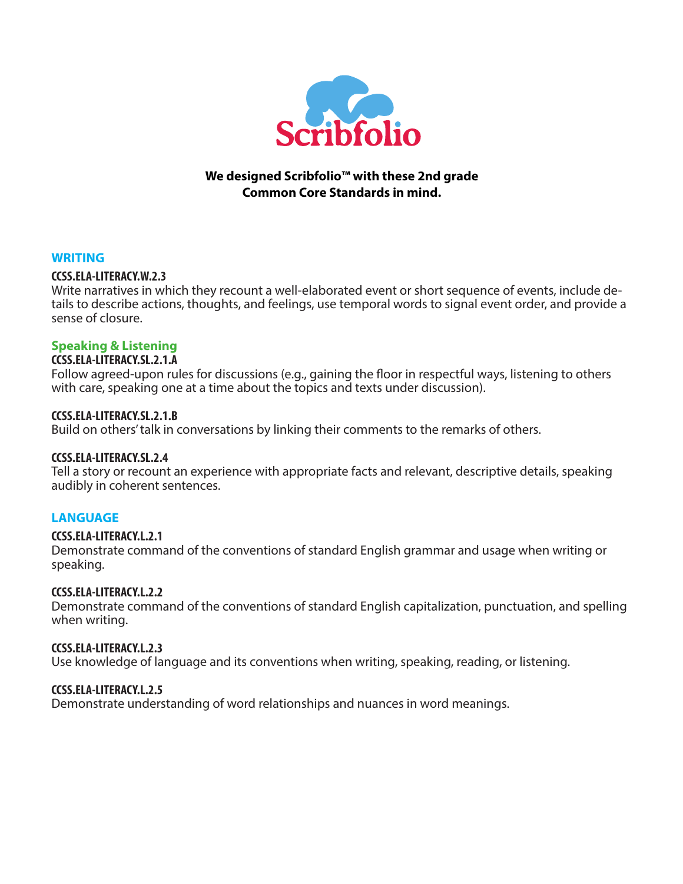

## **We designed Scribfolio™ with these 2nd grade Common Core Standards in mind.**

### **WRITING**

### **CCSS.ELA-LITERACY.W.2.3**

Write narratives in which they recount a well-elaborated event or short sequence of events, include details to describe actions, thoughts, and feelings, use temporal words to signal event order, and provide a sense of closure.

# **Speaking & Listening**

# **CCSS.ELA-LITERACY.SL.2.1.A**

Follow agreed-upon rules for discussions (e.g., gaining the floor in respectful ways, listening to others with care, speaking one at a time about the topics and texts under discussion).

### **CCSS.ELA-LITERACY.SL.2.1.B**

Build on others' talk in conversations by linking their comments to the remarks of others.

## **CCSS.ELA-LITERACY.SL.2.4**

Tell a story or recount an experience with appropriate facts and relevant, descriptive details, speaking audibly in coherent sentences.

## **LANGUAGE**

### **CCSS.ELA-LITERACY.L.2.1**

Demonstrate command of the conventions of standard English grammar and usage when writing or speaking.

### **CCSS.ELA-LITERACY.L.2.2**

Demonstrate command of the conventions of standard English capitalization, punctuation, and spelling when writing.

### **CCSS.ELA-LITERACY.L.2.3**

Use knowledge of language and its conventions when writing, speaking, reading, or listening.

### **CCSS.ELA-LITERACY.L.2.5**

Demonstrate understanding of word relationships and nuances in word meanings.